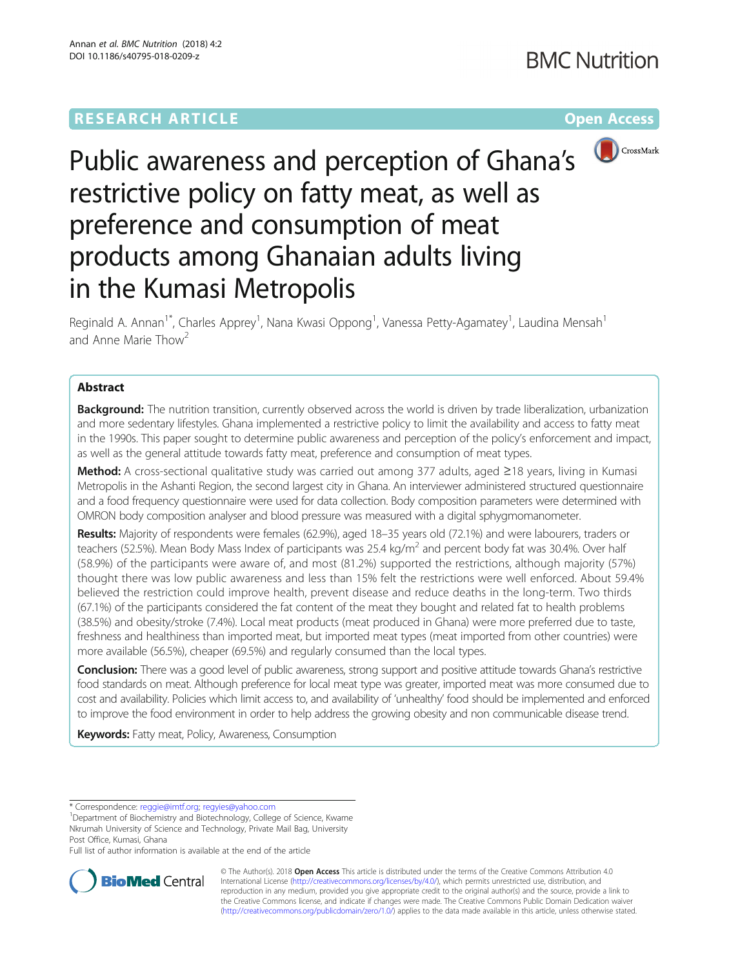

# Public awareness and perception of Ghana's restrictive policy on fatty meat, as well as preference and consumption of meat products among Ghanaian adults living in the Kumasi Metropolis

Reginald A. Annan<sup>1\*</sup>, Charles Apprey<sup>1</sup>, Nana Kwasi Oppong<sup>1</sup>, Vanessa Petty-Agamatey<sup>1</sup>, Laudina Mensah<sup>1</sup> and Anne Marie Thow<sup>2</sup>

# Abstract

**Background:** The nutrition transition, currently observed across the world is driven by trade liberalization, urbanization and more sedentary lifestyles. Ghana implemented a restrictive policy to limit the availability and access to fatty meat in the 1990s. This paper sought to determine public awareness and perception of the policy's enforcement and impact, as well as the general attitude towards fatty meat, preference and consumption of meat types.

Method: A cross-sectional qualitative study was carried out among 377 adults, aged ≥18 years, living in Kumasi Metropolis in the Ashanti Region, the second largest city in Ghana. An interviewer administered structured questionnaire and a food frequency questionnaire were used for data collection. Body composition parameters were determined with OMRON body composition analyser and blood pressure was measured with a digital sphygmomanometer.

Results: Majority of respondents were females (62.9%), aged 18-35 years old (72.1%) and were labourers, traders or teachers (52.5%). Mean Body Mass Index of participants was 25.4 kg/ $m^2$  and percent body fat was 30.4%. Over half (58.9%) of the participants were aware of, and most (81.2%) supported the restrictions, although majority (57%) thought there was low public awareness and less than 15% felt the restrictions were well enforced. About 59.4% believed the restriction could improve health, prevent disease and reduce deaths in the long-term. Two thirds (67.1%) of the participants considered the fat content of the meat they bought and related fat to health problems (38.5%) and obesity/stroke (7.4%). Local meat products (meat produced in Ghana) were more preferred due to taste, freshness and healthiness than imported meat, but imported meat types (meat imported from other countries) were more available (56.5%), cheaper (69.5%) and regularly consumed than the local types.

**Conclusion:** There was a good level of public awareness, strong support and positive attitude towards Ghana's restrictive food standards on meat. Although preference for local meat type was greater, imported meat was more consumed due to cost and availability. Policies which limit access to, and availability of 'unhealthy' food should be implemented and enforced to improve the food environment in order to help address the growing obesity and non communicable disease trend.

Keywords: Fatty meat, Policy, Awareness, Consumption

\* Correspondence: [reggie@imtf.org](mailto:reggie@imtf.org); [regyies@yahoo.com](mailto:regyies@yahoo.com) <sup>1</sup>

Full list of author information is available at the end of the article



© The Author(s). 2018 Open Access This article is distributed under the terms of the Creative Commons Attribution 4.0 International License [\(http://creativecommons.org/licenses/by/4.0/](http://creativecommons.org/licenses/by/4.0/)), which permits unrestricted use, distribution, and reproduction in any medium, provided you give appropriate credit to the original author(s) and the source, provide a link to the Creative Commons license, and indicate if changes were made. The Creative Commons Public Domain Dedication waiver [\(http://creativecommons.org/publicdomain/zero/1.0/](http://creativecommons.org/publicdomain/zero/1.0/)) applies to the data made available in this article, unless otherwise stated.

<sup>&</sup>lt;sup>1</sup>Department of Biochemistry and Biotechnology, College of Science, Kwame Nkrumah University of Science and Technology, Private Mail Bag, University Post Office, Kumasi, Ghana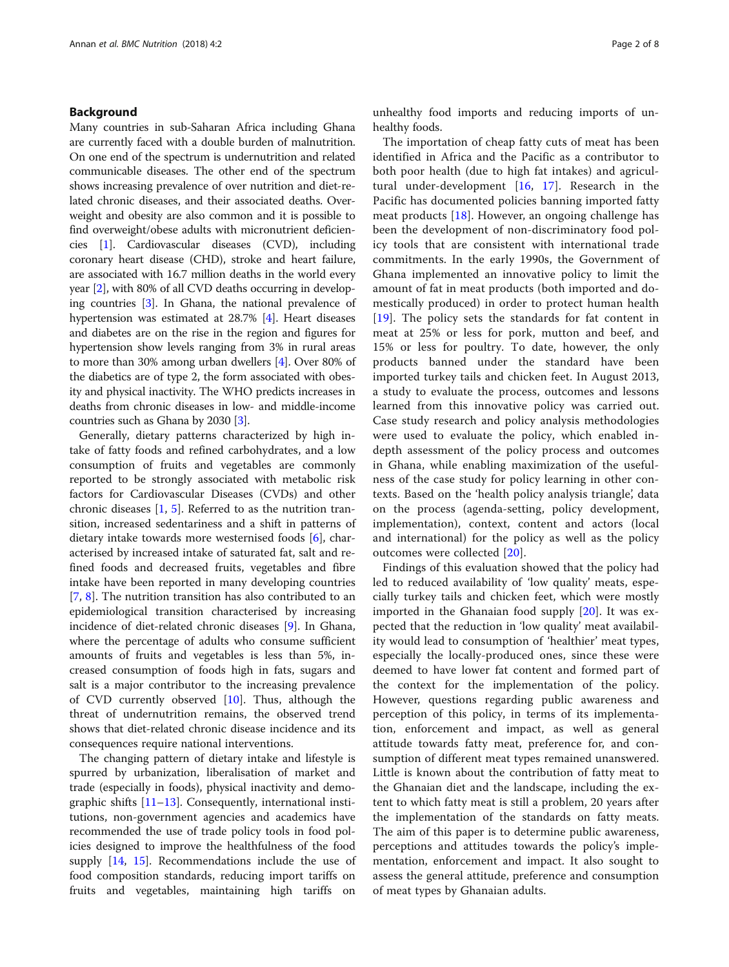# Background

Many countries in sub-Saharan Africa including Ghana are currently faced with a double burden of malnutrition. On one end of the spectrum is undernutrition and related communicable diseases. The other end of the spectrum shows increasing prevalence of over nutrition and diet-related chronic diseases, and their associated deaths. Overweight and obesity are also common and it is possible to find overweight/obese adults with micronutrient deficiencies [\[1](#page-7-0)]. Cardiovascular diseases (CVD), including coronary heart disease (CHD), stroke and heart failure, are associated with 16.7 million deaths in the world every year [\[2\]](#page-7-0), with 80% of all CVD deaths occurring in developing countries [[3\]](#page-7-0). In Ghana, the national prevalence of hypertension was estimated at 28.7% [\[4](#page-7-0)]. Heart diseases and diabetes are on the rise in the region and figures for hypertension show levels ranging from 3% in rural areas to more than 30% among urban dwellers [[4](#page-7-0)]. Over 80% of the diabetics are of type 2, the form associated with obesity and physical inactivity. The WHO predicts increases in deaths from chronic diseases in low- and middle-income countries such as Ghana by 2030 [\[3\]](#page-7-0).

Generally, dietary patterns characterized by high intake of fatty foods and refined carbohydrates, and a low consumption of fruits and vegetables are commonly reported to be strongly associated with metabolic risk factors for Cardiovascular Diseases (CVDs) and other chronic diseases  $[1, 5]$  $[1, 5]$  $[1, 5]$  $[1, 5]$ . Referred to as the nutrition transition, increased sedentariness and a shift in patterns of dietary intake towards more westernised foods [[6\]](#page-7-0), characterised by increased intake of saturated fat, salt and refined foods and decreased fruits, vegetables and fibre intake have been reported in many developing countries [[7,](#page-7-0) [8\]](#page-7-0). The nutrition transition has also contributed to an epidemiological transition characterised by increasing incidence of diet-related chronic diseases [\[9\]](#page-7-0). In Ghana, where the percentage of adults who consume sufficient amounts of fruits and vegetables is less than 5%, increased consumption of foods high in fats, sugars and salt is a major contributor to the increasing prevalence of CVD currently observed [[10\]](#page-7-0). Thus, although the threat of undernutrition remains, the observed trend shows that diet-related chronic disease incidence and its consequences require national interventions.

The changing pattern of dietary intake and lifestyle is spurred by urbanization, liberalisation of market and trade (especially in foods), physical inactivity and demographic shifts [\[11](#page-7-0)–[13\]](#page-7-0). Consequently, international institutions, non-government agencies and academics have recommended the use of trade policy tools in food policies designed to improve the healthfulness of the food supply [[14](#page-7-0), [15\]](#page-7-0). Recommendations include the use of food composition standards, reducing import tariffs on fruits and vegetables, maintaining high tariffs on

unhealthy food imports and reducing imports of unhealthy foods.

The importation of cheap fatty cuts of meat has been identified in Africa and the Pacific as a contributor to both poor health (due to high fat intakes) and agricultural under-development [[16,](#page-7-0) [17](#page-7-0)]. Research in the Pacific has documented policies banning imported fatty meat products [[18\]](#page-7-0). However, an ongoing challenge has been the development of non-discriminatory food policy tools that are consistent with international trade commitments. In the early 1990s, the Government of Ghana implemented an innovative policy to limit the amount of fat in meat products (both imported and domestically produced) in order to protect human health [[19](#page-7-0)]. The policy sets the standards for fat content in meat at 25% or less for pork, mutton and beef, and 15% or less for poultry. To date, however, the only products banned under the standard have been imported turkey tails and chicken feet. In August 2013, a study to evaluate the process, outcomes and lessons learned from this innovative policy was carried out. Case study research and policy analysis methodologies were used to evaluate the policy, which enabled indepth assessment of the policy process and outcomes in Ghana, while enabling maximization of the usefulness of the case study for policy learning in other contexts. Based on the 'health policy analysis triangle', data on the process (agenda-setting, policy development, implementation), context, content and actors (local and international) for the policy as well as the policy outcomes were collected [[20\]](#page-7-0).

Findings of this evaluation showed that the policy had led to reduced availability of 'low quality' meats, especially turkey tails and chicken feet, which were mostly imported in the Ghanaian food supply [\[20](#page-7-0)]. It was expected that the reduction in 'low quality' meat availability would lead to consumption of 'healthier' meat types, especially the locally-produced ones, since these were deemed to have lower fat content and formed part of the context for the implementation of the policy. However, questions regarding public awareness and perception of this policy, in terms of its implementation, enforcement and impact, as well as general attitude towards fatty meat, preference for, and consumption of different meat types remained unanswered. Little is known about the contribution of fatty meat to the Ghanaian diet and the landscape, including the extent to which fatty meat is still a problem, 20 years after the implementation of the standards on fatty meats. The aim of this paper is to determine public awareness, perceptions and attitudes towards the policy's implementation, enforcement and impact. It also sought to assess the general attitude, preference and consumption of meat types by Ghanaian adults.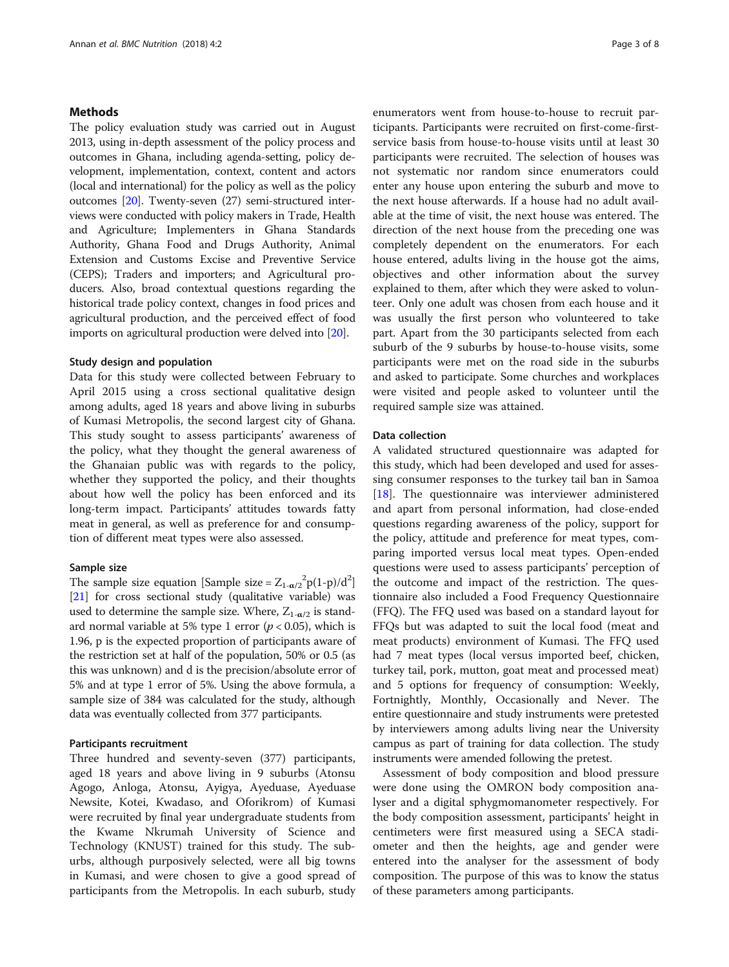# Methods

The policy evaluation study was carried out in August 2013, using in-depth assessment of the policy process and outcomes in Ghana, including agenda-setting, policy development, implementation, context, content and actors (local and international) for the policy as well as the policy outcomes [[20](#page-7-0)]. Twenty-seven (27) semi-structured interviews were conducted with policy makers in Trade, Health and Agriculture; Implementers in Ghana Standards Authority, Ghana Food and Drugs Authority, Animal Extension and Customs Excise and Preventive Service (CEPS); Traders and importers; and Agricultural producers. Also, broad contextual questions regarding the historical trade policy context, changes in food prices and agricultural production, and the perceived effect of food imports on agricultural production were delved into [\[20](#page-7-0)].

# Study design and population

Data for this study were collected between February to April 2015 using a cross sectional qualitative design among adults, aged 18 years and above living in suburbs of Kumasi Metropolis, the second largest city of Ghana. This study sought to assess participants' awareness of the policy, what they thought the general awareness of the Ghanaian public was with regards to the policy, whether they supported the policy, and their thoughts about how well the policy has been enforced and its long-term impact. Participants' attitudes towards fatty meat in general, as well as preference for and consumption of different meat types were also assessed.

# Sample size

The sample size equation [Sample size =  $Z_{1-\alpha/2}^2 p(1-p)/d^2$ ] [[21](#page-7-0)] for cross sectional study (qualitative variable) was used to determine the sample size. Where,  $Z_{1-\alpha/2}$  is standard normal variable at 5% type 1 error ( $p < 0.05$ ), which is 1.96, p is the expected proportion of participants aware of the restriction set at half of the population, 50% or 0.5 (as this was unknown) and d is the precision/absolute error of 5% and at type 1 error of 5%. Using the above formula, a sample size of 384 was calculated for the study, although data was eventually collected from 377 participants.

# Participants recruitment

Three hundred and seventy-seven (377) participants, aged 18 years and above living in 9 suburbs (Atonsu Agogo, Anloga, Atonsu, Ayigya, Ayeduase, Ayeduase Newsite, Kotei, Kwadaso, and Oforikrom) of Kumasi were recruited by final year undergraduate students from the Kwame Nkrumah University of Science and Technology (KNUST) trained for this study. The suburbs, although purposively selected, were all big towns in Kumasi, and were chosen to give a good spread of participants from the Metropolis. In each suburb, study

enumerators went from house-to-house to recruit participants. Participants were recruited on first-come-firstservice basis from house-to-house visits until at least 30 participants were recruited. The selection of houses was not systematic nor random since enumerators could enter any house upon entering the suburb and move to the next house afterwards. If a house had no adult available at the time of visit, the next house was entered. The direction of the next house from the preceding one was completely dependent on the enumerators. For each house entered, adults living in the house got the aims, objectives and other information about the survey explained to them, after which they were asked to volunteer. Only one adult was chosen from each house and it was usually the first person who volunteered to take part. Apart from the 30 participants selected from each suburb of the 9 suburbs by house-to-house visits, some participants were met on the road side in the suburbs and asked to participate. Some churches and workplaces were visited and people asked to volunteer until the required sample size was attained.

# Data collection

A validated structured questionnaire was adapted for this study, which had been developed and used for assessing consumer responses to the turkey tail ban in Samoa [[18\]](#page-7-0). The questionnaire was interviewer administered and apart from personal information, had close-ended questions regarding awareness of the policy, support for the policy, attitude and preference for meat types, comparing imported versus local meat types. Open-ended questions were used to assess participants' perception of the outcome and impact of the restriction. The questionnaire also included a Food Frequency Questionnaire (FFQ). The FFQ used was based on a standard layout for FFQs but was adapted to suit the local food (meat and meat products) environment of Kumasi. The FFQ used had 7 meat types (local versus imported beef, chicken, turkey tail, pork, mutton, goat meat and processed meat) and 5 options for frequency of consumption: Weekly, Fortnightly, Monthly, Occasionally and Never. The entire questionnaire and study instruments were pretested by interviewers among adults living near the University campus as part of training for data collection. The study instruments were amended following the pretest.

Assessment of body composition and blood pressure were done using the OMRON body composition analyser and a digital sphygmomanometer respectively. For the body composition assessment, participants' height in centimeters were first measured using a SECA stadiometer and then the heights, age and gender were entered into the analyser for the assessment of body composition. The purpose of this was to know the status of these parameters among participants.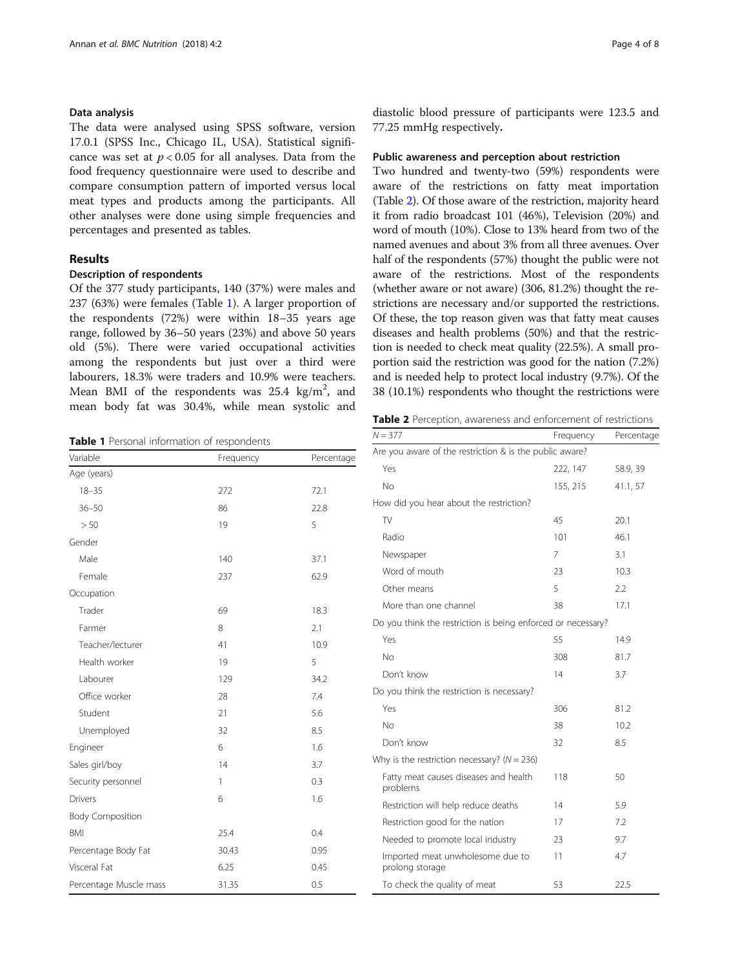# Data analysis

The data were analysed using SPSS software, version 17.0.1 (SPSS Inc., Chicago IL, USA). Statistical significance was set at  $p < 0.05$  for all analyses. Data from the food frequency questionnaire were used to describe and compare consumption pattern of imported versus local meat types and products among the participants. All other analyses were done using simple frequencies and percentages and presented as tables.

# Results

# Description of respondents

Of the 377 study participants, 140 (37%) were males and 237 (63%) were females (Table 1). A larger proportion of the respondents (72%) were within 18–35 years age range, followed by 36–50 years (23%) and above 50 years old (5%). There were varied occupational activities among the respondents but just over a third were labourers, 18.3% were traders and 10.9% were teachers. Mean BMI of the respondents was  $25.4 \text{ kg/m}^2$ , and mean body fat was 30.4%, while mean systolic and

Table 1 Personal information of respondents

| Variable                | Frequency | Percentage |
|-------------------------|-----------|------------|
| Age (years)             |           |            |
| $18 - 35$               | 272       | 72.1       |
| $36 - 50$               | 86        | 22.8       |
| > 50                    | 19        | 5          |
| Gender                  |           |            |
| Male                    | 140       | 37.1       |
| Female                  | 237       | 62.9       |
| Occupation              |           |            |
| Trader                  | 69        | 18.3       |
| Farmer                  | 8         | 2.1        |
| Teacher/lecturer        | 41        | 10.9       |
| Health worker           | 19        | 5          |
| Labourer                | 129       | 34.2       |
| Office worker           | 28        | 7.4        |
| Student                 | 21        | 5.6        |
| Unemployed              | 32        | 8.5        |
| Engineer                | 6         | 1.6        |
| Sales girl/boy          | 14        | 3.7        |
| Security personnel      | 1         | 0.3        |
| Drivers                 | 6         | 1.6        |
| <b>Body Composition</b> |           |            |
| <b>BMI</b>              | 25.4      | 0.4        |
| Percentage Body Fat     | 30.43     | 0.95       |
| Visceral Fat            | 6.25      | 0.45       |
| Percentage Muscle mass  | 31.35     | 0.5        |

diastolic blood pressure of participants were 123.5 and 77.25 mmHg respectively.

# Public awareness and perception about restriction

Two hundred and twenty-two (59%) respondents were aware of the restrictions on fatty meat importation (Table 2). Of those aware of the restriction, majority heard it from radio broadcast 101 (46%), Television (20%) and word of mouth (10%). Close to 13% heard from two of the named avenues and about 3% from all three avenues. Over half of the respondents (57%) thought the public were not aware of the restrictions. Most of the respondents (whether aware or not aware) (306, 81.2%) thought the restrictions are necessary and/or supported the restrictions. Of these, the top reason given was that fatty meat causes diseases and health problems (50%) and that the restriction is needed to check meat quality (22.5%). A small proportion said the restriction was good for the nation (7.2%) and is needed help to protect local industry (9.7%). Of the 38 (10.1%) respondents who thought the restrictions were

Table 2 Perception, awareness and enforcement of restrictions

| $N = 377$                                                    | Frequency | Percentage |
|--------------------------------------------------------------|-----------|------------|
| Are you aware of the restriction & is the public aware?      |           |            |
| Yes                                                          | 222, 147  | 58.9, 39   |
| No                                                           | 155, 215  | 41.1, 57   |
| How did you hear about the restriction?                      |           |            |
| TV                                                           | 45        | 20.1       |
| Radio                                                        | 101       | 46.1       |
| Newspaper                                                    | 7         | 3.1        |
| Word of mouth                                                | 23        | 10.3       |
| Other means                                                  | 5         | 2.2        |
| More than one channel                                        | 38        | 17.1       |
| Do you think the restriction is being enforced or necessary? |           |            |
| Yes                                                          | 55        | 14.9       |
| Nο                                                           | 308       | 81.7       |
| Don't know                                                   | 14        | 3.7        |
| Do you think the restriction is necessary?                   |           |            |
| Yes                                                          | 306       | 81.2       |
| Nο                                                           | 38        | 10.2       |
| Don't know                                                   | 32        | 8.5        |
| Why is the restriction necessary? ( $N = 236$ )              |           |            |
| Fatty meat causes diseases and health<br>problems            | 118       | 50         |
| Restriction will help reduce deaths                          | 14        | 5.9        |
| Restriction good for the nation                              | 17        | 7.2        |
| Needed to promote local industry                             | 23        | 9.7        |
| Imported meat unwholesome due to<br>prolong storage          | 11        | 4.7        |
| To check the quality of meat                                 | 53        | 22.5       |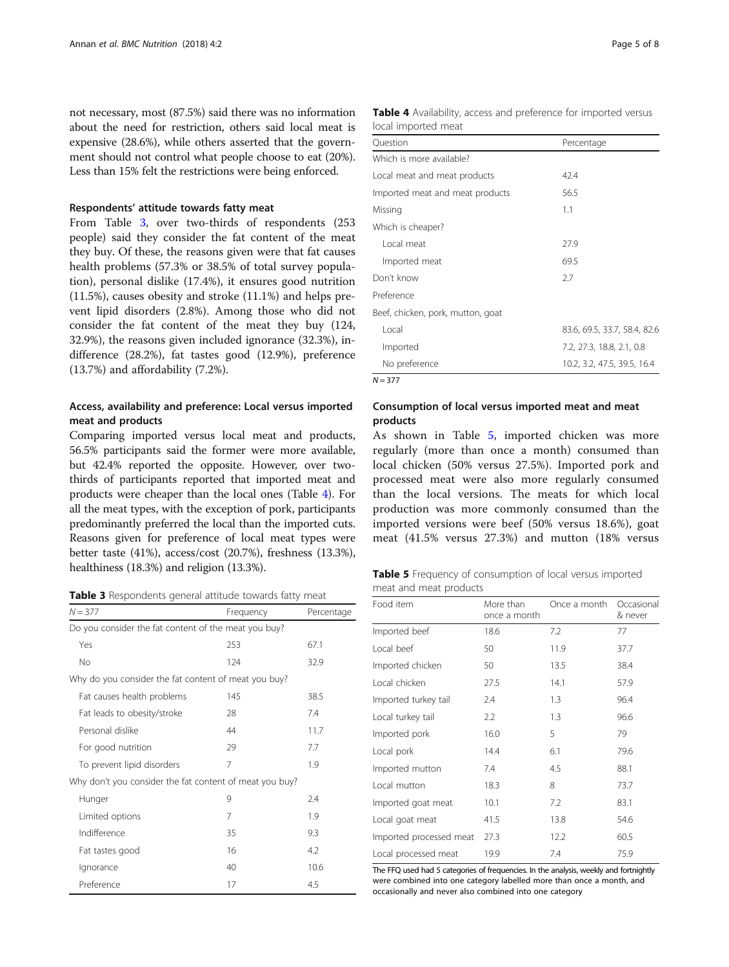not necessary, most (87.5%) said there was no information about the need for restriction, others said local meat is expensive (28.6%), while others asserted that the government should not control what people choose to eat (20%). Less than 15% felt the restrictions were being enforced.

# Respondents' attitude towards fatty meat

From Table 3, over two-thirds of respondents (253 people) said they consider the fat content of the meat they buy. Of these, the reasons given were that fat causes health problems (57.3% or 38.5% of total survey population), personal dislike (17.4%), it ensures good nutrition (11.5%), causes obesity and stroke (11.1%) and helps prevent lipid disorders (2.8%). Among those who did not consider the fat content of the meat they buy (124, 32.9%), the reasons given included ignorance (32.3%), indifference (28.2%), fat tastes good (12.9%), preference (13.7%) and affordability (7.2%).

# Access, availability and preference: Local versus imported meat and products

Comparing imported versus local meat and products, 56.5% participants said the former were more available, but 42.4% reported the opposite. However, over twothirds of participants reported that imported meat and products were cheaper than the local ones (Table 4). For all the meat types, with the exception of pork, participants predominantly preferred the local than the imported cuts. Reasons given for preference of local meat types were better taste (41%), access/cost (20.7%), freshness (13.3%), healthiness (18.3%) and religion (13.3%).

|  | Table 3 Respondents general attitude towards fatty meat |  |  |  |  |  |
|--|---------------------------------------------------------|--|--|--|--|--|
|--|---------------------------------------------------------|--|--|--|--|--|

| $N = 377$                                               | Frequency | Percentage |
|---------------------------------------------------------|-----------|------------|
| Do you consider the fat content of the meat you buy?    |           |            |
| Yes                                                     | 253       | 67.1       |
| <b>No</b>                                               | 124       | 32.9       |
| Why do you consider the fat content of meat you buy?    |           |            |
| Fat causes health problems                              | 145       | 38.5       |
| Fat leads to obesity/stroke                             | 28        | 7.4        |
| Personal dislike                                        | 44        | 11.7       |
| For good nutrition                                      | 29        | 7.7        |
| To prevent lipid disorders                              | 7         | 1.9        |
| Why don't you consider the fat content of meat you buy? |           |            |
| Hunger                                                  | 9         | 2.4        |
| Limited options                                         | 7         | 1.9        |
| Indifference                                            | 35        | 9.3        |
| Fat tastes good                                         | 16        | 4.2        |
| Ignorance                                               | 40        | 10.6       |
| Preference                                              | 17        | 4.5        |

| Table 4 Availability, access and preference for imported versus |  |  |  |  |
|-----------------------------------------------------------------|--|--|--|--|
| local imported meat                                             |  |  |  |  |

| .000. po.com                      |                              |
|-----------------------------------|------------------------------|
| Question                          | Percentage                   |
| Which is more available?          |                              |
| Local meat and meat products      | 42.4                         |
| Imported meat and meat products   | 56.5                         |
| Missing                           | 1.1                          |
| Which is cheaper?                 |                              |
| Local meat                        | 27.9                         |
| Imported meat                     | 69.5                         |
| Don't know                        | 2.7                          |
| Preference                        |                              |
| Beef, chicken, pork, mutton, goat |                              |
| Local                             | 83.6, 69.5, 33.7, 58.4, 82.6 |
| Imported                          | 7.2, 27.3, 18.8, 2.1, 0.8    |
| No preference                     | 10.2, 3.2, 47.5, 39.5, 16.4  |

 $N = 377$ 

# Consumption of local versus imported meat and meat products

As shown in Table 5, imported chicken was more regularly (more than once a month) consumed than local chicken (50% versus 27.5%). Imported pork and processed meat were also more regularly consumed than the local versions. The meats for which local production was more commonly consumed than the imported versions were beef (50% versus 18.6%), goat meat (41.5% versus 27.3%) and mutton (18% versus

Table 5 Frequency of consumption of local versus imported meat and meat products

| Food item               | More than<br>once a month | Once a month | Occasional<br>& never |  |
|-------------------------|---------------------------|--------------|-----------------------|--|
| Imported beef           | 18.6                      | 7.2          | 77                    |  |
| Local beef              | 50                        | 11.9         | 37.7                  |  |
| Imported chicken        | 50                        | 13.5         | 38.4                  |  |
| Local chicken           | 27.5                      | 14.1         | 57.9                  |  |
| Imported turkey tail    | 2.4                       | 1.3          | 96.4                  |  |
| Local turkey tail       | 2.2                       | 1.3          | 96.6                  |  |
| Imported pork           | 16.0                      | 5            | 79                    |  |
| Local pork              | 14.4                      | 6.1          | 79.6                  |  |
| Imported mutton         | 7.4                       | 4.5          | 88.1                  |  |
| Local mutton            | 18.3                      | 8            | 73.7                  |  |
| Imported goat meat      | 10.1                      | 7.2          | 83.1                  |  |
| Local goat meat         | 41.5                      | 13.8         | 54.6                  |  |
| Imported processed meat | 27.3                      | 12.2         | 60.5                  |  |
| Local processed meat    | 19.9                      | 7.4          | 75.9                  |  |

The FFQ used had 5 categories of frequencies. In the analysis, weekly and fortnightly were combined into one category labelled more than once a month, and occasionally and never also combined into one category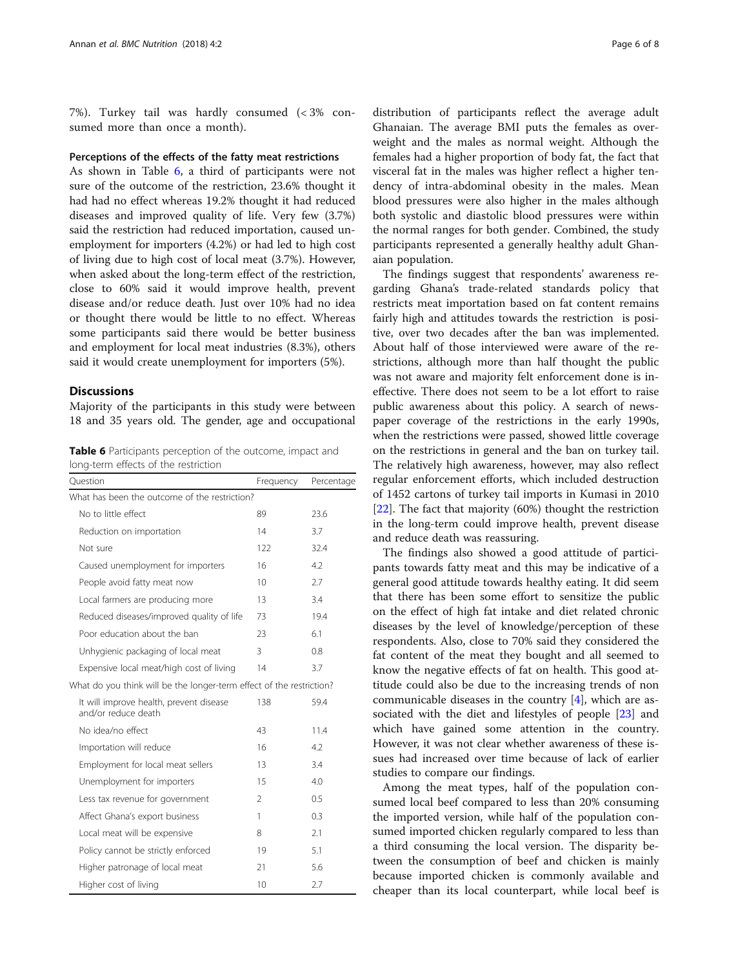7%). Turkey tail was hardly consumed (< 3% consumed more than once a month).

# Perceptions of the effects of the fatty meat restrictions

As shown in Table 6, a third of participants were not sure of the outcome of the restriction, 23.6% thought it had had no effect whereas 19.2% thought it had reduced diseases and improved quality of life. Very few (3.7%) said the restriction had reduced importation, caused unemployment for importers (4.2%) or had led to high cost of living due to high cost of local meat (3.7%). However, when asked about the long-term effect of the restriction, close to 60% said it would improve health, prevent disease and/or reduce death. Just over 10% had no idea or thought there would be little to no effect. Whereas some participants said there would be better business and employment for local meat industries (8.3%), others said it would create unemployment for importers (5%).

# **Discussions**

Majority of the participants in this study were between 18 and 35 years old. The gender, age and occupational

Table 6 Participants perception of the outcome, impact and long-term effects of the restriction

| Question                                                             | Frequency       | Percentage |
|----------------------------------------------------------------------|-----------------|------------|
| What has been the outcome of the restriction?                        |                 |            |
| No to little effect                                                  | 89              | 23.6       |
| Reduction on importation                                             | 14              | 3.7        |
| Not sure                                                             | 122             | 32.4       |
| Caused unemployment for importers                                    | 16              | 4.2        |
| People avoid fatty meat now                                          | 10 <sup>1</sup> | 2.7        |
| Local farmers are producing more                                     | 13              | 3.4        |
| Reduced diseases/improved quality of life                            | 73              | 19.4       |
| Poor education about the ban                                         | 23              | 6.1        |
| Unhygienic packaging of local meat                                   | 3               | 0.8        |
| Expensive local meat/high cost of living                             | 14              | 3.7        |
| What do you think will be the longer-term effect of the restriction? |                 |            |
| It will improve health, prevent disease<br>and/or reduce death       | 138             | 59.4       |
| No idea/no effect                                                    | 43              | 11.4       |
| Importation will reduce                                              | 16              | 4.2        |
| Employment for local meat sellers                                    | 13              | 3.4        |
| Unemployment for importers                                           | 15              | 4.0        |
| Less tax revenue for government                                      | 2               | 0.5        |
| Affect Ghana's export business                                       | 1               | 0.3        |
| Local meat will be expensive                                         | 8               | 2.1        |
| Policy cannot be strictly enforced                                   | 19              | 5.1        |
| Higher patronage of local meat                                       | 21              | 5.6        |
| Higher cost of living                                                | 10              | 2.7        |

distribution of participants reflect the average adult Ghanaian. The average BMI puts the females as overweight and the males as normal weight. Although the females had a higher proportion of body fat, the fact that visceral fat in the males was higher reflect a higher tendency of intra-abdominal obesity in the males. Mean blood pressures were also higher in the males although both systolic and diastolic blood pressures were within the normal ranges for both gender. Combined, the study participants represented a generally healthy adult Ghanaian population.

The findings suggest that respondents' awareness regarding Ghana's trade-related standards policy that restricts meat importation based on fat content remains fairly high and attitudes towards the restriction is positive, over two decades after the ban was implemented. About half of those interviewed were aware of the restrictions, although more than half thought the public was not aware and majority felt enforcement done is ineffective. There does not seem to be a lot effort to raise public awareness about this policy. A search of newspaper coverage of the restrictions in the early 1990s, when the restrictions were passed, showed little coverage on the restrictions in general and the ban on turkey tail. The relatively high awareness, however, may also reflect regular enforcement efforts, which included destruction of 1452 cartons of turkey tail imports in Kumasi in 2010 [[22\]](#page-7-0). The fact that majority (60%) thought the restriction in the long-term could improve health, prevent disease and reduce death was reassuring.

The findings also showed a good attitude of participants towards fatty meat and this may be indicative of a general good attitude towards healthy eating. It did seem that there has been some effort to sensitize the public on the effect of high fat intake and diet related chronic diseases by the level of knowledge/perception of these respondents. Also, close to 70% said they considered the fat content of the meat they bought and all seemed to know the negative effects of fat on health. This good attitude could also be due to the increasing trends of non communicable diseases in the country [\[4](#page-7-0)], which are associated with the diet and lifestyles of people [\[23](#page-7-0)] and which have gained some attention in the country. However, it was not clear whether awareness of these issues had increased over time because of lack of earlier studies to compare our findings.

Among the meat types, half of the population consumed local beef compared to less than 20% consuming the imported version, while half of the population consumed imported chicken regularly compared to less than a third consuming the local version. The disparity between the consumption of beef and chicken is mainly because imported chicken is commonly available and cheaper than its local counterpart, while local beef is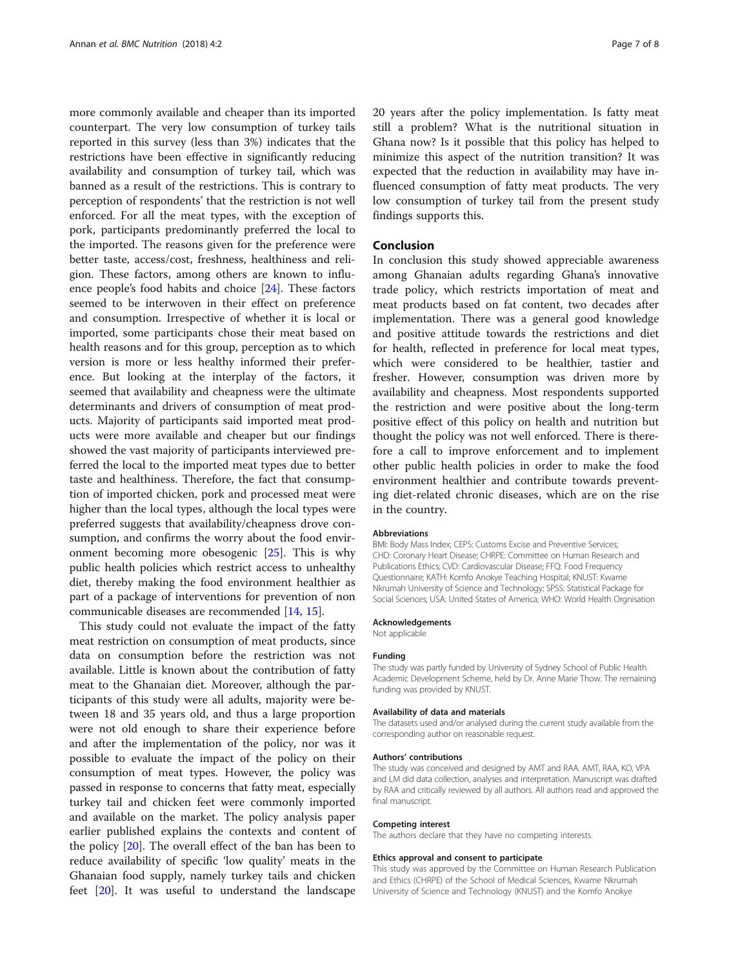more commonly available and cheaper than its imported counterpart. The very low consumption of turkey tails reported in this survey (less than 3%) indicates that the restrictions have been effective in significantly reducing availability and consumption of turkey tail, which was banned as a result of the restrictions. This is contrary to perception of respondents' that the restriction is not well enforced. For all the meat types, with the exception of pork, participants predominantly preferred the local to the imported. The reasons given for the preference were better taste, access/cost, freshness, healthiness and religion. These factors, among others are known to influence people's food habits and choice [\[24](#page-7-0)]. These factors seemed to be interwoven in their effect on preference and consumption. Irrespective of whether it is local or imported, some participants chose their meat based on health reasons and for this group, perception as to which version is more or less healthy informed their preference. But looking at the interplay of the factors, it seemed that availability and cheapness were the ultimate determinants and drivers of consumption of meat products. Majority of participants said imported meat products were more available and cheaper but our findings showed the vast majority of participants interviewed preferred the local to the imported meat types due to better taste and healthiness. Therefore, the fact that consumption of imported chicken, pork and processed meat were higher than the local types, although the local types were preferred suggests that availability/cheapness drove consumption, and confirms the worry about the food environment becoming more obesogenic [[25\]](#page-7-0). This is why public health policies which restrict access to unhealthy diet, thereby making the food environment healthier as part of a package of interventions for prevention of non communicable diseases are recommended [\[14](#page-7-0), [15\]](#page-7-0).

This study could not evaluate the impact of the fatty meat restriction on consumption of meat products, since data on consumption before the restriction was not available. Little is known about the contribution of fatty meat to the Ghanaian diet. Moreover, although the participants of this study were all adults, majority were between 18 and 35 years old, and thus a large proportion were not old enough to share their experience before and after the implementation of the policy, nor was it possible to evaluate the impact of the policy on their consumption of meat types. However, the policy was passed in response to concerns that fatty meat, especially turkey tail and chicken feet were commonly imported and available on the market. The policy analysis paper earlier published explains the contexts and content of the policy [[20](#page-7-0)]. The overall effect of the ban has been to reduce availability of specific 'low quality' meats in the Ghanaian food supply, namely turkey tails and chicken feet [[20](#page-7-0)]. It was useful to understand the landscape

20 years after the policy implementation. Is fatty meat still a problem? What is the nutritional situation in Ghana now? Is it possible that this policy has helped to minimize this aspect of the nutrition transition? It was expected that the reduction in availability may have influenced consumption of fatty meat products. The very low consumption of turkey tail from the present study findings supports this.

# Conclusion

In conclusion this study showed appreciable awareness among Ghanaian adults regarding Ghana's innovative trade policy, which restricts importation of meat and meat products based on fat content, two decades after implementation. There was a general good knowledge and positive attitude towards the restrictions and diet for health, reflected in preference for local meat types, which were considered to be healthier, tastier and fresher. However, consumption was driven more by availability and cheapness. Most respondents supported the restriction and were positive about the long-term positive effect of this policy on health and nutrition but thought the policy was not well enforced. There is therefore a call to improve enforcement and to implement other public health policies in order to make the food environment healthier and contribute towards preventing diet-related chronic diseases, which are on the rise in the country.

#### Abbreviations

BMI: Body Mass Index; CEPS: Customs Excise and Preventive Services; CHD: Coronary Heart Disease; CHRPE: Committee on Human Research and Publications Ethics; CVD: Cardiovascular Disease; FFQ: Food Frequency Questionnaire; KATH: Komfo Anokye Teaching Hospital; KNUST: Kwame Nkrumah University of Science and Technology; SPSS: Statistical Package for Social Sciences; USA: United States of America; WHO: World Health Orgnisation

#### Acknowledgements

Not applicable

#### Funding

The study was partly funded by University of Sydney School of Public Health Academic Development Scheme, held by Dr. Anne Marie Thow. The remaining funding was provided by KNUST.

#### Availability of data and materials

The datasets used and/or analysed during the current study available from the corresponding author on reasonable request.

#### Authors' contributions

The study was conceived and designed by AMT and RAA. AMT, RAA, KO, VPA and LM did data collection, analyses and interpretation. Manuscript was drafted by RAA and critically reviewed by all authors. All authors read and approved the final manuscript.

#### Competing interest

The authors declare that they have no competing interests.

#### Ethics approval and consent to participate

This study was approved by the Committee on Human Research Publication and Ethics (CHRPE) of the School of Medical Sciences, Kwame Nkrumah University of Science and Technology (KNUST) and the Komfo Anokye